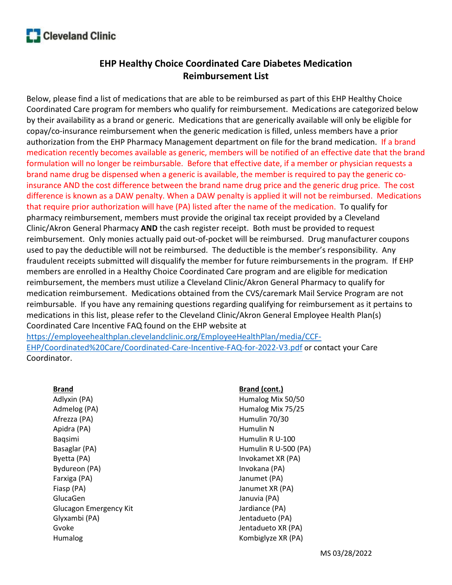# **Cleveland Clinic**

# EHP Healthy Choice Coordinated Care Diabetes Medication Reimbursement List

Below, please find a list of medications that are able to be reimbursed as part of this EHP Healthy Choice Coordinated Care program for members who qualify for reimbursement. Medications are categorized below by their availability as a brand or generic. Medications that are generically available will only be eligible for copay/co-insurance reimbursement when the generic medication is filled, unless members have a prior authorization from the EHP Pharmacy Management department on file for the brand medication. If a brand medication recently becomes available as generic, members will be notified of an effective date that the brand formulation will no longer be reimbursable. Before that effective date, if a member or physician requests a brand name drug be dispensed when a generic is available, the member is required to pay the generic coinsurance AND the cost difference between the brand name drug price and the generic drug price. The cost difference is known as a DAW penalty. When a DAW penalty is applied it will not be reimbursed. Medications that require prior authorization will have (PA) listed after the name of the medication. To qualify for pharmacy reimbursement, members must provide the original tax receipt provided by a Cleveland Clinic/Akron General Pharmacy AND the cash register receipt. Both must be provided to request reimbursement. Only monies actually paid out-of-pocket will be reimbursed. Drug manufacturer coupons used to pay the deductible will not be reimbursed. The deductible is the member's responsibility. Any fraudulent receipts submitted will disqualify the member for future reimbursements in the program. If EHP members are enrolled in a Healthy Choice Coordinated Care program and are eligible for medication reimbursement, the members must utilize a Cleveland Clinic/Akron General Pharmacy to qualify for medication reimbursement. Medications obtained from the CVS/caremark Mail Service Program are not reimbursable. If you have any remaining questions regarding qualifying for reimbursement as it pertains to medications in this list, please refer to the Cleveland Clinic/Akron General Employee Health Plan(s) Coordinated Care Incentive FAQ found on the EHP website at

https://employeehealthplan.clevelandclinic.org/EmployeeHealthPlan/media/CCF-EHP/Coordinated%20Care/Coordinated-Care-Incentive-FAQ-for-2022-V3.pdf or contact your Care Coordinator.

## Brand

Adlyxin (PA) Admelog (PA) Afrezza (PA) Apidra (PA) Baqsimi Basaglar (PA) Byetta (PA) Bydureon (PA) Farxiga (PA) Fiasp (PA) GlucaGen Glucagon Emergency Kit Glyxambi (PA) Gvoke Humalog

#### Brand (cont.)

Humalog Mix 50/50 Humalog Mix 75/25 Humulin 70/30 Humulin N Humulin R U-100 Humulin R U-500 (PA) Invokamet XR (PA) Invokana (PA) Janumet (PA) Janumet XR (PA) Januvia (PA) Jardiance (PA) Jentadueto (PA) Jentadueto XR (PA) Kombiglyze XR (PA)